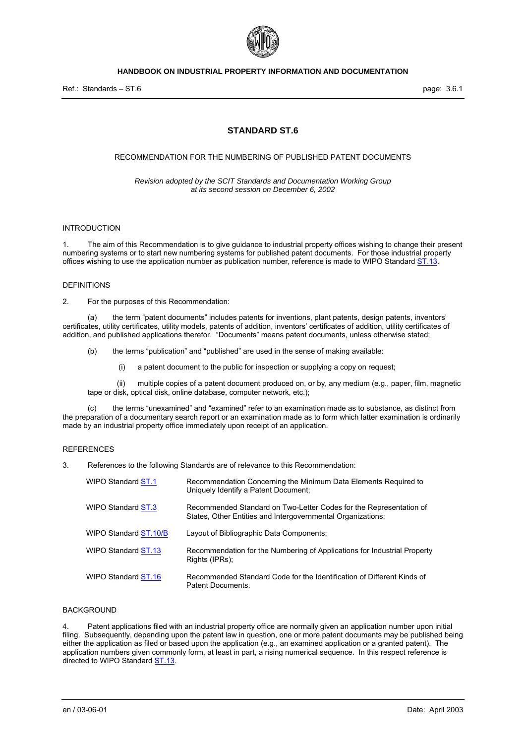

# **STANDARD ST.6**

#### RECOMMENDATION FOR THE NUMBERING OF PUBLISHED PATENT DOCUMENTS

*Revision adopted by the SCIT Standards and Documentation Working Group at its second session on December 6, 2002* 

### INTRODUCTION

1. The aim of this Recommendation is to give guidance to industrial property offices wishing to change their present numbering systems or to start new numbering systems for published patent documents. For those industrial property offices wishing to use the application number as publication number, reference is made to WIPO Standard ST.13.

### DEFINITIONS

2. For the purposes of this Recommendation:

 (a) the term "patent documents" includes patents for inventions, plant patents, design patents, inventors' certificates, utility certificates, utility models, patents of addition, inventors' certificates of addition, utility certificates of addition, and published applications therefor. "Documents" means patent documents, unless otherwise stated;

- (b) the terms "publication" and "published" are used in the sense of making available:
	- (i) a patent document to the public for inspection or supplying a copy on request;

 (ii) multiple copies of a patent document produced on, or by, any medium (e.g., paper, film, magnetic tape or disk, optical disk, online database, computer network, etc.);

 (c) the terms "unexamined" and "examined" refer to an examination made as to substance, as distinct from the preparation of a documentary search report or an examination made as to form which latter examination is ordinarily made by an industrial property office immediately upon receipt of an application.

### **REFERENCES**

3. References to the following Standards are of relevance to this Recommendation:

| WIPO Standard ST.1    | Recommendation Concerning the Minimum Data Elements Reguired to<br>Uniquely Identify a Patent Document;                           |
|-----------------------|-----------------------------------------------------------------------------------------------------------------------------------|
| WIPO Standard ST.3    | Recommended Standard on Two-Letter Codes for the Representation of<br>States, Other Entities and Intergovernmental Organizations; |
| WIPO Standard ST.10/B | Layout of Bibliographic Data Components:                                                                                          |
| WIPO Standard ST.13   | Recommendation for the Numbering of Applications for Industrial Property<br>Rights (IPRs);                                        |
| WIPO Standard ST.16   | Recommended Standard Code for the Identification of Different Kinds of<br>Patent Documents.                                       |

#### BACKGROUND

4. Patent applications filed with an industrial property office are normally given an application number upon initial filing. Subsequently, depending upon the patent law in question, one or more patent documents may be published being either the application as filed or based upon the application (e.g., an examined application or a granted patent). The application numbers given commonly form, at least in part, a rising numerical sequence. In this respect reference is directed to WIPO Standard **ST.13**.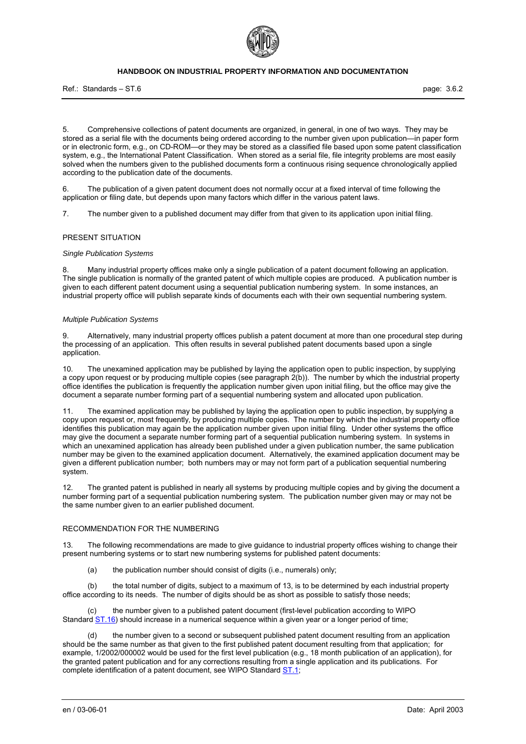

Ref.: Standards – ST.6 page: 3.6.2

5. Comprehensive collections of patent documents are organized, in general, in one of two ways. They may be stored as a serial file with the documents being ordered according to the number given upon publication—in paper form or in electronic form, e.g., on CD-ROM—or they may be stored as a classified file based upon some patent classification system, e.g., the International Patent Classification. When stored as a serial file, file integrity problems are most easily solved when the numbers given to the published documents form a continuous rising sequence chronologically applied according to the publication date of the documents.

6. The publication of a given patent document does not normally occur at a fixed interval of time following the application or filing date, but depends upon many factors which differ in the various patent laws.

7. The number given to a published document may differ from that given to its application upon initial filing.

#### PRESENT SITUATION

#### *Single Publication Systems*

8. Many industrial property offices make only a single publication of a patent document following an application. The single publication is normally of the granted patent of which multiple copies are produced. A publication number is given to each different patent document using a sequential publication numbering system. In some instances, an industrial property office will publish separate kinds of documents each with their own sequential numbering system.

#### *Multiple Publication Systems*

9. Alternatively, many industrial property offices publish a patent document at more than one procedural step during the processing of an application. This often results in several published patent documents based upon a single application.

10. The unexamined application may be published by laying the application open to public inspection, by supplying a copy upon request or by producing multiple copies (see paragraph 2(b)). The number by which the industrial property office identifies the publication is frequently the application number given upon initial filing, but the office may give the document a separate number forming part of a sequential numbering system and allocated upon publication.

The examined application may be published by laying the application open to public inspection, by supplying a copy upon request or, most frequently, by producing multiple copies. The number by which the industrial property office identifies this publication may again be the application number given upon initial filing. Under other systems the office may give the document a separate number forming part of a sequential publication numbering system. In systems in which an unexamined application has already been published under a given publication number, the same publication number may be given to the examined application document. Alternatively, the examined application document may be given a different publication number; both numbers may or may not form part of a publication sequential numbering system.

12. The granted patent is published in nearly all systems by producing multiple copies and by giving the document a number forming part of a sequential publication numbering system. The publication number given may or may not be the same number given to an earlier published document.

### RECOMMENDATION FOR THE NUMBERING

13. The following recommendations are made to give guidance to industrial property offices wishing to change their present numbering systems or to start new numbering systems for published patent documents:

(a) the publication number should consist of digits (i.e., numerals) only;

 (b) the total number of digits, subject to a maximum of 13, is to be determined by each industrial property office according to its needs. The number of digits should be as short as possible to satisfy those needs;

the number given to a published patent document (first-level publication according to WIPO Standard  $ST.16$ ) should increase in a numerical sequence within a given year or a longer period of time;

 (d) the number given to a second or subsequent published patent document resulting from an application should be the same number as that given to the first published patent document resulting from that application; for example, 1/2002/000002 would be used for the first level publication (e.g., 18 month publication of an application), for the granted patent publication and for any corrections resulting from a single application and its publications. For complete identification of a patent document, see WIPO Standard ST.1;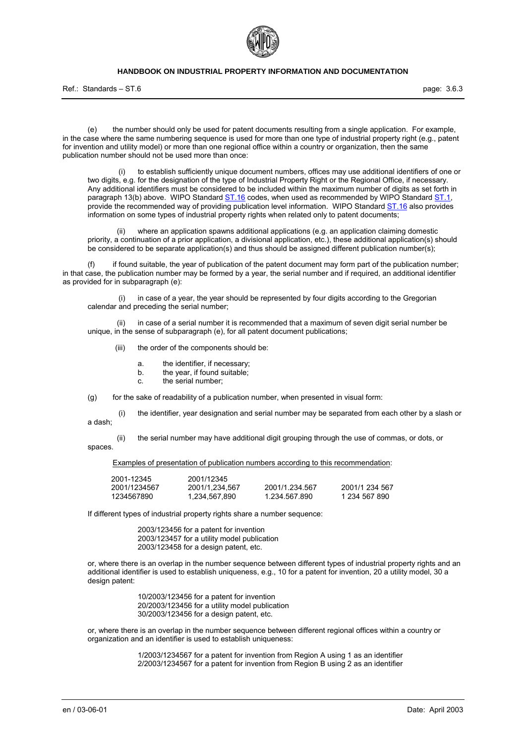

Ref.: Standards – ST.6 page: 3.6.3

 (e) the number should only be used for patent documents resulting from a single application. For example, in the case where the same numbering sequence is used for more than one type of industrial property right (e.g., patent for invention and utility model) or more than one regional office within a country or organization, then the same publication number should not be used more than once:

 (i) to establish sufficiently unique document numbers, offices may use additional identifiers of one or two digits, e.g. for the designation of the type of Industrial Property Right or the Regional Office, if necessary. Any additional identifiers must be considered to be included within the maximum number of digits as set forth in paragraph 13(b) above. WIPO Standard **ST.16** codes, when used as recommended by WIPO Standard ST.1, provide the recommended way of providing publication level information. WIPO Standard ST.16 also provides information on some types of industrial property rights when related only to patent documents;

 (ii) where an application spawns additional applications (e.g. an application claiming domestic priority, a continuation of a prior application, a divisional application, etc.), these additional application(s) should be considered to be separate application(s) and thus should be assigned different publication number(s);

 (f) if found suitable, the year of publication of the patent document may form part of the publication number; in that case, the publication number may be formed by a year, the serial number and if required, an additional identifier as provided for in subparagraph (e):

 (i) in case of a year, the year should be represented by four digits according to the Gregorian calendar and preceding the serial number;

 (ii) in case of a serial number it is recommended that a maximum of seven digit serial number be unique, in the sense of subparagraph (e), for all patent document publications;

- (iii) the order of the components should be:
	- a. the identifier, if necessary;<br>b. the year, if found suitable;
	- the year, if found suitable;
	- c. the serial number;

(g) for the sake of readability of a publication number, when presented in visual form:

 (i) the identifier, year designation and serial number may be separated from each other by a slash or a dash;

 (ii) the serial number may have additional digit grouping through the use of commas, or dots, or spaces.

Examples of presentation of publication numbers according to this recommendation:

| 2001-12345   | 2001/12345     |                |                |
|--------------|----------------|----------------|----------------|
| 2001/1234567 | 2001/1.234.567 | 2001/1.234.567 | 2001/1 234 567 |
| 1234567890   | 1.234.567.890  | 1.234.567.890  | 1 234 567 890  |

If different types of industrial property rights share a number sequence:

2003/123456 for a patent for invention 2003/123457 for a utility model publication 2003/123458 for a design patent, etc.

or, where there is an overlap in the number sequence between different types of industrial property rights and an additional identifier is used to establish uniqueness, e.g., 10 for a patent for invention, 20 a utility model, 30 a design patent:

> 10/2003/123456 for a patent for invention 20/2003/123456 for a utility model publication 30/2003/123456 for a design patent, etc.

or, where there is an overlap in the number sequence between different regional offices within a country or organization and an identifier is used to establish uniqueness:

> 1/2003/1234567 for a patent for invention from Region A using 1 as an identifier 2/2003/1234567 for a patent for invention from Region B using 2 as an identifier